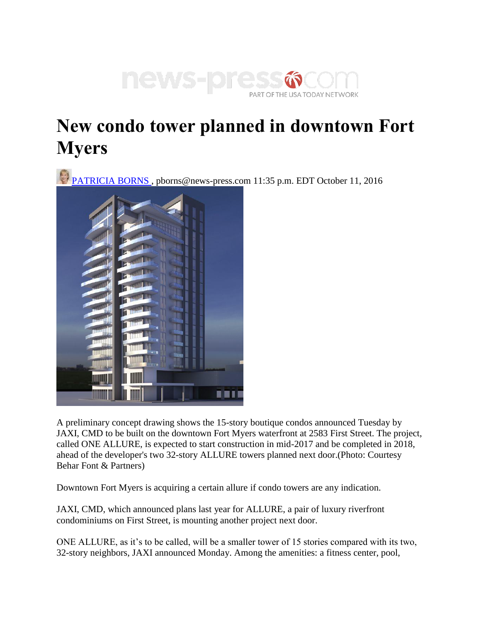

## **New condo tower planned in downtown Fort Myers**

PATRICIA BORNS, pborns@news-press.com 11:35 p.m. EDT October 11, 2016



A preliminary concept drawing shows the 15-story boutique condos announced Tuesday by JAXI, CMD to be built on the downtown Fort Myers waterfront at 2583 First Street. The project, called ONE ALLURE, is expected to start construction in mid-2017 and be completed in 2018, ahead of the developer's two 32-story ALLURE towers planned next door.(Photo: Courtesy Behar Font & Partners)

Downtown Fort Myers is acquiring a certain allure if condo towers are any indication.

JAXI, CMD, which announced plans last year for ALLURE, a pair of luxury riverfront condominiums on First Street, is mounting another project next door.

ONE ALLURE, as it's to be called, will be a smaller tower of 15 stories compared with its two, 32-story neighbors, JAXI announced Monday. Among the amenities: a fitness center, pool,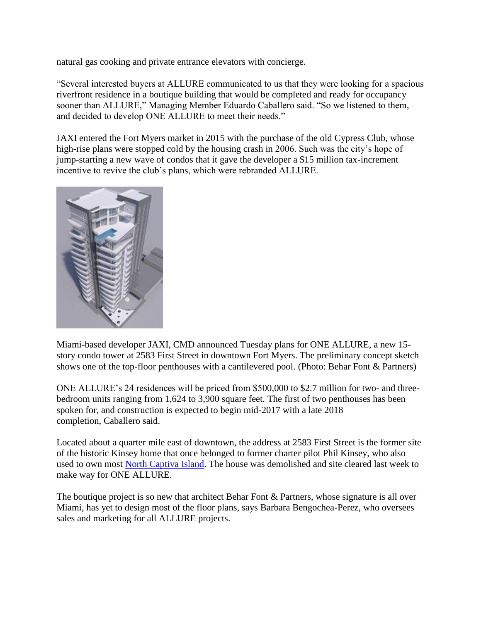natural gas cooking and private entrance elevators with concierge.

"Several interested buyers at ALLURE communicated to us that they were looking for a spacious riverfront residence in a boutique building that would be completed and ready for occupancy sooner than ALLURE," Managing Member Eduardo Caballero said. "So we listened to them, and decided to develop ONE ALLURE to meet their needs."

JAXI entered the Fort Myers market in 2015 with the purchase of the old Cypress Club, whose high-rise plans were stopped cold by the housing crash in 2006. Such was the city's hope of jump-starting a new wave of condos that it gave the developer a \$15 million tax-increment incentive to revive the club's plans, which were rebranded ALLURE.



Miami-based developer JAXI, CMD announced Tuesday plans for ONE ALLURE, a new 15 story condo tower at 2583 First Street in downtown Fort Myers. The preliminary concept sketch shows one of the top-floor penthouses with a cantilevered pool. (Photo: Behar Font & Partners)

ONE ALLURE's 24 residences will be priced from \$500,000 to \$2.7 million for two- and threebedroom units ranging from 1,624 to 3,900 square feet. The first of two penthouses has been spoken for, and construction is expected to begin mid-2017 with a late 2018 completion, Caballero said.

Located about a quarter mile east of downtown, the address at 2583 First Street is the former site of the historic Kinsey home that once belonged to former charter pilot Phil Kinsey, who also used to own most [North Captiva Island.](https://www.northcaptiva.com/) The house was demolished and site cleared last week to make way for ONE ALLURE.

The boutique project is so new that architect Behar Font & Partners, whose signature is all over Miami, has yet to design most of the floor plans, says Barbara Bengochea-Perez, who oversees sales and marketing for all ALLURE projects.